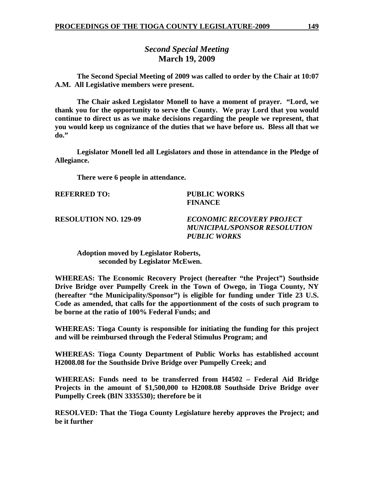## *Second Special Meeting*  **March 19, 2009**

 **The Second Special Meeting of 2009 was called to order by the Chair at 10:07 A.M. All Legislative members were present.** 

**The Chair asked Legislator Monell to have a moment of prayer. "Lord, we thank you for the opportunity to serve the County. We pray Lord that you would continue to direct us as we make decisions regarding the people we represent, that you would keep us cognizance of the duties that we have before us. Bless all that we do."** 

 **Legislator Monell led all Legislators and those in attendance in the Pledge of Allegiance.** 

 **There were 6 people in attendance.** 

**REFERRED TO: PUBLIC WORKS FINANCE** 

**RESOLUTION NO. 129-09** *ECONOMIC RECOVERY PROJECT MUNICIPAL/SPONSOR RESOLUTION PUBLIC WORKS* 

 **Adoption moved by Legislator Roberts, seconded by Legislator McEwen.** 

**WHEREAS: The Economic Recovery Project (hereafter "the Project") Southside Drive Bridge over Pumpelly Creek in the Town of Owego, in Tioga County, NY (hereafter "the Municipality/Sponsor") is eligible for funding under Title 23 U.S. Code as amended, that calls for the apportionment of the costs of such program to be borne at the ratio of 100% Federal Funds; and** 

**WHEREAS: Tioga County is responsible for initiating the funding for this project and will be reimbursed through the Federal Stimulus Program; and** 

**WHEREAS: Tioga County Department of Public Works has established account H2008.08 for the Southside Drive Bridge over Pumpelly Creek; and** 

**WHEREAS: Funds need to be transferred from H4502 – Federal Aid Bridge Projects in the amount of \$1,500,000 to H2008.08 Southside Drive Bridge over Pumpelly Creek (BIN 3335530); therefore be it** 

**RESOLVED: That the Tioga County Legislature hereby approves the Project; and be it further**